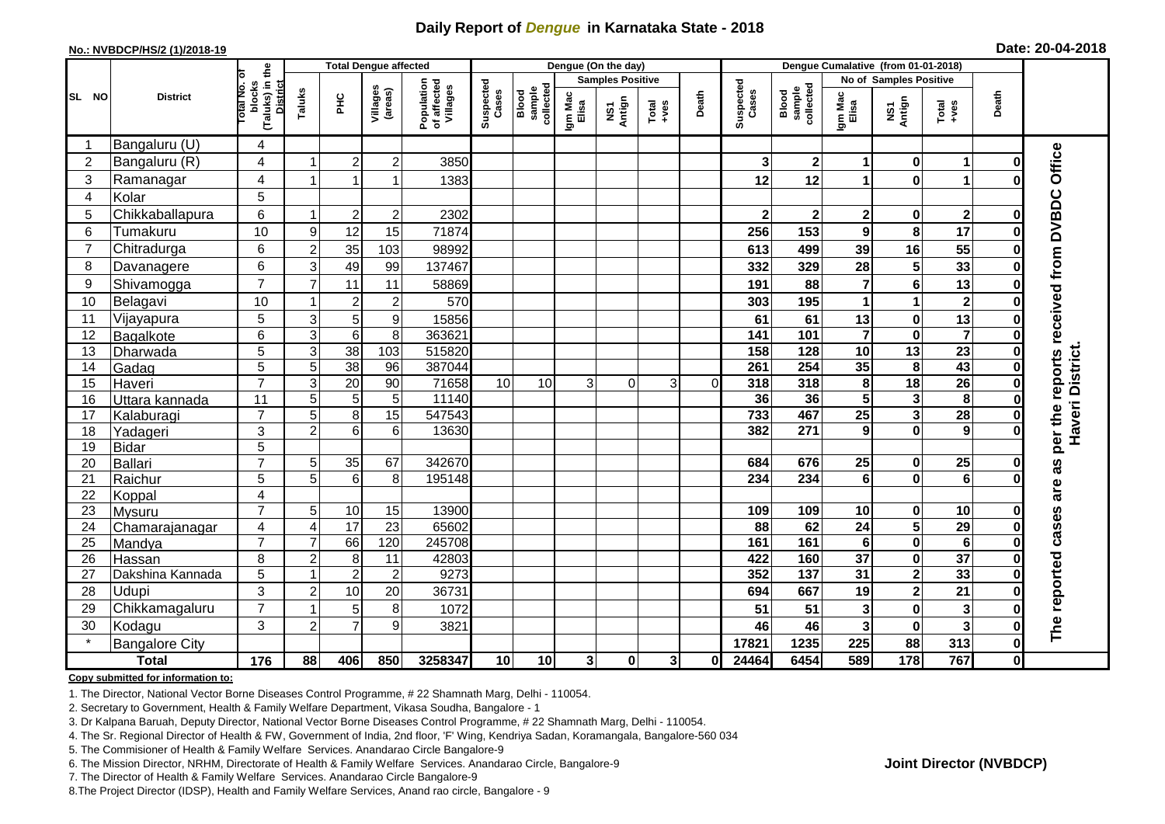## **Daily Report of** *Dengue* **in Karnataka State - 2018**

#### **No.: NVBDCP/HS/2 (1)/2018-19**

|  |  | Date: 20-04-2018 |
|--|--|------------------|
|--|--|------------------|

|                       | <b>Total Dengue affected</b> |                                                             |                  |                 |                     |                                       |                    |                              | Dengue (On the day) |                         |                  |          |                    |                              |                         |                         |                         |              |                                            |
|-----------------------|------------------------------|-------------------------------------------------------------|------------------|-----------------|---------------------|---------------------------------------|--------------------|------------------------------|---------------------|-------------------------|------------------|----------|--------------------|------------------------------|-------------------------|-------------------------|-------------------------|--------------|--------------------------------------------|
|                       |                              |                                                             |                  |                 |                     |                                       |                    |                              |                     | <b>Samples Positive</b> |                  |          |                    |                              | No of Samples Positive  |                         |                         |              |                                            |
| SL NO                 | <b>District</b>              | (Taluks) in the<br>otal No. of<br>blocks<br><b>District</b> | Taluks           | ΞÉ              | Villages<br>(areas) | Population<br>of affected<br>Villages | Suspected<br>Cases | sample<br>collected<br>Blood | Igm Mac<br>Elisa    | NS1<br>Antign           | $Tota$<br>$+ves$ | Death    | Suspected<br>Cases | sample<br>collected<br>Blood | Igm Mac<br>Elisa        | NS1<br>Antign           | $Tota$<br>$+ves$        | Death        |                                            |
|                       | Bangaluru (U)                | 4                                                           |                  |                 |                     |                                       |                    |                              |                     |                         |                  |          |                    |                              |                         |                         |                         |              |                                            |
| $\overline{2}$        | Bangaluru (R)                | 4                                                           |                  | $\overline{c}$  | $\overline{c}$      | 3850                                  |                    |                              |                     |                         |                  |          | 3                  | $\mathbf 2$                  | 1                       | $\bf{0}$                | 1                       | $\bf{0}$     |                                            |
| 3                     | Ramanagar                    | 4                                                           |                  |                 |                     | 1383                                  |                    |                              |                     |                         |                  |          | 12                 | 12                           | 1                       | $\bf{0}$                |                         |              | per the reports received from DVBDC Office |
| $\boldsymbol{\Delta}$ | Kolar                        | 5                                                           |                  |                 |                     |                                       |                    |                              |                     |                         |                  |          |                    |                              |                         |                         |                         |              |                                            |
| 5                     | Chikkaballapura              | 6                                                           |                  | $\overline{2}$  | $\boldsymbol{2}$    | 2302                                  |                    |                              |                     |                         |                  |          |                    | $\mathbf 2$                  | 2                       | $\mathbf 0$             | $\overline{\mathbf{2}}$ | Ω            |                                            |
| 6                     | Tumakuru                     | 10                                                          | $\boldsymbol{9}$ | 12              | 15                  | 71874                                 |                    |                              |                     |                         |                  |          | 256                | 153                          | 9                       | 8                       | 17                      | 0            |                                            |
| $\overline{7}$        | Chitradurga                  | 6                                                           | $\overline{c}$   | 35              | 103                 | 98992                                 |                    |                              |                     |                         |                  |          | 613                | 499                          | 39                      | 16                      | 55                      | $\bf{0}$     |                                            |
| 8                     | Davanagere                   | 6                                                           | 3                | 49              | 99                  | 137467                                |                    |                              |                     |                         |                  |          | 332                | 329                          | 28                      | 5                       | 33                      | $\bf{0}$     |                                            |
| 9                     | Shivamogga                   | $\overline{7}$                                              | $\overline{7}$   | 11              | 11                  | 58869                                 |                    |                              |                     |                         |                  |          | 191                | 88                           | $\overline{\mathbf{r}}$ | $\bf 6$                 | 13                      | 0            |                                            |
| 10                    | Belagavi                     | 10                                                          |                  | $\overline{2}$  | $\overline{2}$      | 570                                   |                    |                              |                     |                         |                  |          | 303                | 195                          | 1                       | $\mathbf{1}$            | $\overline{2}$          | 0            |                                            |
| 11                    | Vijayapura                   | 5                                                           | 3                | $\sqrt{5}$      | 9                   | 15856                                 |                    |                              |                     |                         |                  |          | 61                 | 61                           | 13                      | $\pmb{0}$               | 13                      | 0            |                                            |
| 12                    | Bagalkote                    | $\overline{6}$                                              | 3                | 6               | 8                   | 363621                                |                    |                              |                     |                         |                  |          | $\frac{141}{141}$  | 101                          | $\overline{7}$          | $\mathbf 0$             | $\overline{7}$          | $\bf{0}$     |                                            |
| 13                    | Dharwada                     | $\overline{5}$                                              | $\overline{3}$   | $\overline{38}$ | 103                 | 515820                                |                    |                              |                     |                         |                  |          | 158                | 128                          | 10                      | $\overline{13}$         | $\overline{23}$         | $\bf{0}$     | Haveri District.                           |
| 14                    | Gadag                        | $\overline{5}$                                              | 5                | $\overline{38}$ | 96                  | 387044                                |                    |                              |                     |                         |                  |          | 261                | 254                          | 35                      | 8                       | 43                      | 0            |                                            |
| 15                    | Haveri                       | $\overline{7}$                                              | 3                | 20              | 90                  | 71658                                 | 10                 | 10                           | 3                   | $\Omega$                | 3                | $\Omega$ | 318                | 318                          | 8                       | $\overline{18}$         | $\overline{26}$         | 0            |                                            |
| 16                    | Uttara kannada               | $\overline{11}$                                             | $\overline{5}$   | 5               | 5                   | 11140                                 |                    |                              |                     |                         |                  |          | 36                 | 36                           | $\overline{\mathbf{5}}$ | $\overline{\mathbf{3}}$ | $\overline{\mathbf{8}}$ | 0            |                                            |
| 17                    | Kalaburagi                   | $\overline{7}$                                              | 5                | 8               | 15                  | 547543                                |                    |                              |                     |                         |                  |          | 733                | 467                          | $\overline{25}$         | $\overline{\mathbf{3}}$ | 28                      |              |                                            |
| 18                    | Yadageri                     | 3                                                           | $\overline{2}$   | 6               | 6                   | 13630                                 |                    |                              |                     |                         |                  |          | 382                | 271                          | 9                       | $\bf{0}$                | 9                       |              |                                            |
| 19                    | Bidar                        | 5                                                           |                  |                 |                     |                                       |                    |                              |                     |                         |                  |          |                    |                              |                         |                         |                         |              |                                            |
| 20                    | Ballari                      | $\overline{7}$                                              | 5                | 35              | 67                  | 342670                                |                    |                              |                     |                         |                  |          | 684                | 676                          | 25                      | $\mathbf 0$             | 25                      | 0            | as                                         |
| 21                    | Raichur                      | 5                                                           | 5                | 6               | 8                   | 195148                                |                    |                              |                     |                         |                  |          | 234                | 234                          | 6                       | $\bf{0}$                | $\overline{6}$          | U            |                                            |
| 22                    | Koppal                       | 4                                                           |                  |                 |                     |                                       |                    |                              |                     |                         |                  |          |                    |                              |                         |                         |                         |              | are                                        |
| 23                    | Mysuru                       | $\overline{7}$                                              | 5                | $10$            | 15                  | 13900                                 |                    |                              |                     |                         |                  |          | 109                | 109                          | 10                      | 0                       | 10                      | 0            |                                            |
| 24                    | Chamarajanagar               | 4                                                           | 4                | 17              | 23                  | 65602                                 |                    |                              |                     |                         |                  |          | 88                 | 62                           | 24                      | 5                       | 29                      | $\bf{0}$     |                                            |
| 25                    | Mandya                       | $\overline{7}$                                              |                  | 66              | 120                 | 245708                                |                    |                              |                     |                         |                  |          | 161                | 161                          | $6\phantom{a}$          | $\overline{\mathbf{0}}$ | $\overline{6}$          | $\bf{0}$     |                                            |
| 26                    | Hassan                       | 8                                                           | $\overline{2}$   | 8               | 11                  | 42803                                 |                    |                              |                     |                         |                  |          | 422                | 160                          | 37                      | $\mathbf 0$             | $\overline{37}$         | 0            |                                            |
| 27                    | Dakshina Kannada             | 5                                                           |                  | $\overline{2}$  | $\overline{c}$      | 9273                                  |                    |                              |                     |                         |                  |          | 352                | $\overline{137}$             | $\overline{31}$         | $\overline{\mathbf{2}}$ | 33                      | $\bf{0}$     |                                            |
| 28                    | Udupi                        | 3                                                           | $\overline{2}$   | 10              | 20                  | 36731                                 |                    |                              |                     |                         |                  |          | 694                | 667                          | 19                      | $\overline{\mathbf{2}}$ | 21                      | O            |                                            |
| 29                    | Chikkamagaluru               | $\overline{7}$                                              |                  | 5               | 8                   | 1072                                  |                    |                              |                     |                         |                  |          | 51                 | 51                           | 3                       | $\pmb{0}$               | $\mathbf{3}$            | ŋ            | The reported cases                         |
| 30                    | Kodagu                       | 3                                                           | $\overline{2}$   | 7               | 9                   | 3821                                  |                    |                              |                     |                         |                  |          | 46                 | 46                           | 3                       | $\bf{0}$                | $\overline{\mathbf{3}}$ | 0            |                                            |
|                       | <b>Bangalore City</b>        |                                                             |                  |                 |                     |                                       |                    |                              |                     |                         |                  |          | 17821              | 1235                         | 225                     | 88                      | 313                     | $\mathbf 0$  |                                            |
|                       | <b>Total</b>                 | $\frac{1}{176}$                                             | 88               | 406             | 850                 | 3258347                               | 10                 | 10                           | 3 <sup>1</sup>      | $\mathbf{0}$            | 3                | 0l       | 24464              | 6454                         | 589                     | 178                     | 767                     | $\mathbf{0}$ |                                            |

#### **Copy submitted for information to:**

1. The Director, National Vector Borne Diseases Control Programme, # 22 Shamnath Marg, Delhi - 110054.

2. Secretary to Government, Health & Family Welfare Department, Vikasa Soudha, Bangalore - 1

3. Dr Kalpana Baruah, Deputy Director, National Vector Borne Diseases Control Programme, # 22 Shamnath Marg, Delhi - 110054.

4. The Sr. Regional Director of Health & FW, Government of India, 2nd floor, 'F' Wing, Kendriya Sadan, Koramangala, Bangalore-560 034

5. The Commisioner of Health & Family Welfare Services. Anandarao Circle Bangalore-9

6. The Mission Director, NRHM, Directorate of Health & Family Welfare Services. Anandarao Circle, Bangalore-9

7. The Director of Health & Family Welfare Services. Anandarao Circle Bangalore-9

8.The Project Director (IDSP), Health and Family Welfare Services, Anand rao circle, Bangalore - 9